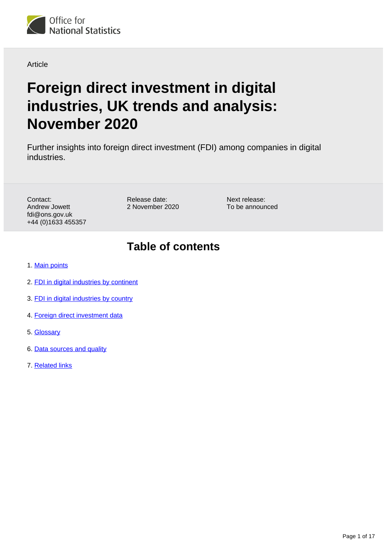

### Article

# **Foreign direct investment in digital industries, UK trends and analysis: November 2020**

Further insights into foreign direct investment (FDI) among companies in digital industries.

Contact: Andrew Jowett fdi@ons.gov.uk +44 (0)1633 455357 Release date: 2 November 2020 Next release: To be announced

# **Table of contents**

- 1. [Main points](#page-1-0)
- 2. [FDI in digital industries by continent](#page-1-1)
- 3. [FDI in digital industries by country](#page-8-0)
- 4. [Foreign direct investment data](#page-12-0)
- 5. [Glossary](#page-12-1)
- 6. [Data sources and quality](#page-13-0)
- 7. [Related links](#page-16-0)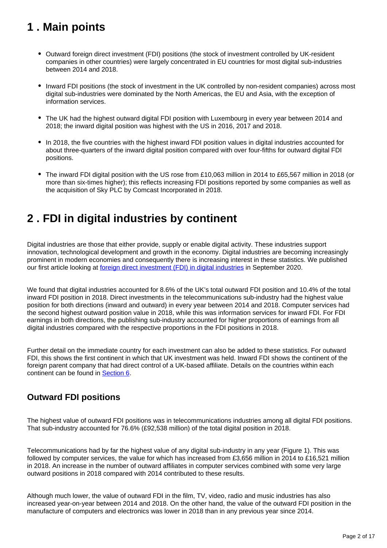# <span id="page-1-0"></span>**1 . Main points**

- Outward foreign direct investment (FDI) positions (the stock of investment controlled by UK-resident companies in other countries) were largely concentrated in EU countries for most digital sub-industries between 2014 and 2018.
- Inward FDI positions (the stock of investment in the UK controlled by non-resident companies) across most digital sub-industries were dominated by the North Americas, the EU and Asia, with the exception of information services.
- The UK had the highest outward digital FDI position with Luxembourg in every year between 2014 and 2018; the inward digital position was highest with the US in 2016, 2017 and 2018.
- In 2018, the five countries with the highest inward FDI position values in digital industries accounted for about three-quarters of the inward digital position compared with over four-fifths for outward digital FDI positions.
- The inward FDI digital position with the US rose from £10,063 million in 2014 to £65,567 million in 2018 (or more than six-times higher); this reflects increasing FDI positions reported by some companies as well as the acquisition of Sky PLC by Comcast Incorporated in 2018.

# <span id="page-1-1"></span>**2 . FDI in digital industries by continent**

Digital industries are those that either provide, supply or enable digital activity. These industries support innovation, technological development and growth in the economy. Digital industries are becoming increasingly prominent in modern economies and consequently there is increasing interest in these statistics. We published our first article looking at [foreign direct investment \(FDI\) in digital industries](https://www.ons.gov.uk/economy/nationalaccounts/balanceofpayments/articles/ukforeigndirectinvestmenttrendsandanalysis/september2020) in September 2020.

We found that digital industries accounted for 8.6% of the UK's total outward FDI position and 10.4% of the total inward FDI position in 2018. Direct investments in the telecommunications sub-industry had the highest value position for both directions (inward and outward) in every year between 2014 and 2018. Computer services had the second highest outward position value in 2018, while this was information services for inward FDI. For FDI earnings in both directions, the publishing sub-industry accounted for higher proportions of earnings from all digital industries compared with the respective proportions in the FDI positions in 2018.

Further detail on the immediate country for each investment can also be added to these statistics. For outward FDI, this shows the first continent in which that UK investment was held. Inward FDI shows the continent of the foreign parent company that had direct control of a UK-based affiliate. Details on the countries within each continent can be found in **Section 6.** 

# **Outward FDI positions**

The highest value of outward FDI positions was in telecommunications industries among all digital FDI positions. That sub-industry accounted for 76.6% (£92,538 million) of the total digital position in 2018.

Telecommunications had by far the highest value of any digital sub-industry in any year (Figure 1). This was followed by computer services, the value for which has increased from £3,656 million in 2014 to £16,521 million in 2018. An increase in the number of outward affiliates in computer services combined with some very large outward positions in 2018 compared with 2014 contributed to these results.

Although much lower, the value of outward FDI in the film, TV, video, radio and music industries has also increased year-on-year between 2014 and 2018. On the other hand, the value of the outward FDI position in the manufacture of computers and electronics was lower in 2018 than in any previous year since 2014.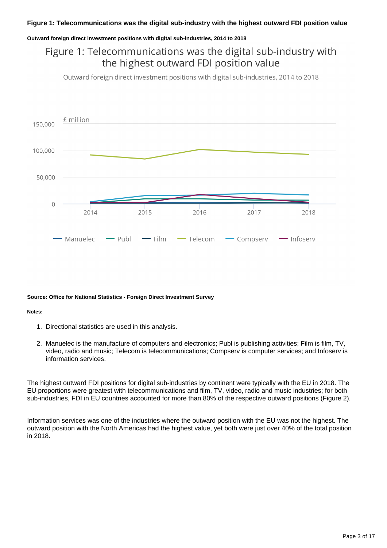#### **Outward foreign direct investment positions with digital sub-industries, 2014 to 2018**

# Figure 1: Telecommunications was the digital sub-industry with the highest outward FDI position value

Outward foreign direct investment positions with digital sub-industries, 2014 to 2018



#### **Source: Office for National Statistics - Foreign Direct Investment Survey**

#### **Notes:**

- 1. Directional statistics are used in this analysis.
- 2. Manuelec is the manufacture of computers and electronics; Publ is publishing activities; Film is film, TV, video, radio and music; Telecom is telecommunications; Compserv is computer services; and Infoserv is information services.

The highest outward FDI positions for digital sub-industries by continent were typically with the EU in 2018. The EU proportions were greatest with telecommunications and film, TV, video, radio and music industries; for both sub-industries, FDI in EU countries accounted for more than 80% of the respective outward positions (Figure 2).

Information services was one of the industries where the outward position with the EU was not the highest. The outward position with the North Americas had the highest value, yet both were just over 40% of the total position in 2018.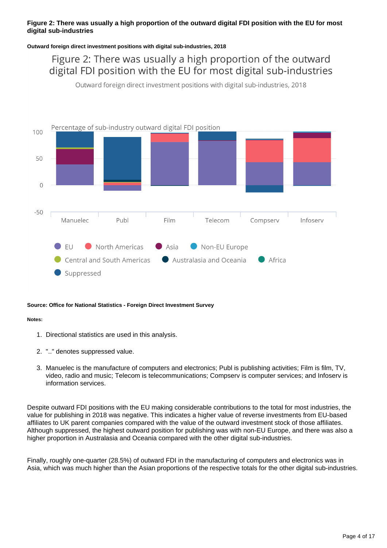### **Figure 2: There was usually a high proportion of the outward digital FDI position with the EU for most digital sub-industries**

#### **Outward foreign direct investment positions with digital sub-industries, 2018**

Figure 2: There was usually a high proportion of the outward digital FDI position with the EU for most digital sub-industries

Outward foreign direct investment positions with digital sub-industries, 2018



#### **Source: Office for National Statistics - Foreign Direct Investment Survey**

#### **Notes:**

- 1. Directional statistics are used in this analysis.
- 2. ".." denotes suppressed value.
- 3. Manuelec is the manufacture of computers and electronics; Publ is publishing activities; Film is film, TV, video, radio and music; Telecom is telecommunications; Compserv is computer services; and Infoserv is information services.

Despite outward FDI positions with the EU making considerable contributions to the total for most industries, the value for publishing in 2018 was negative. This indicates a higher value of reverse investments from EU-based affiliates to UK parent companies compared with the value of the outward investment stock of those affiliates. Although suppressed, the highest outward position for publishing was with non-EU Europe, and there was also a higher proportion in Australasia and Oceania compared with the other digital sub-industries.

Finally, roughly one-quarter (28.5%) of outward FDI in the manufacturing of computers and electronics was in Asia, which was much higher than the Asian proportions of the respective totals for the other digital sub-industries.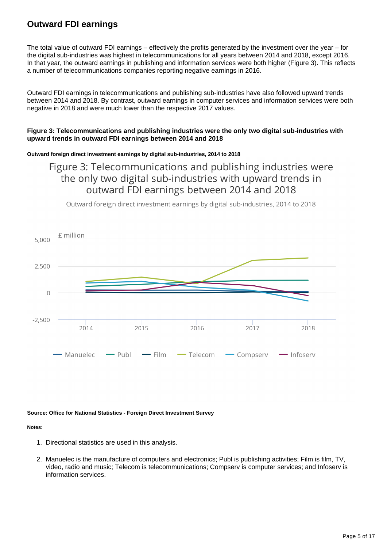# **Outward FDI earnings**

The total value of outward FDI earnings – effectively the profits generated by the investment over the year – for the digital sub-industries was highest in telecommunications for all years between 2014 and 2018, except 2016. In that year, the outward earnings in publishing and information services were both higher (Figure 3). This reflects a number of telecommunications companies reporting negative earnings in 2016.

Outward FDI earnings in telecommunications and publishing sub-industries have also followed upward trends between 2014 and 2018. By contrast, outward earnings in computer services and information services were both negative in 2018 and were much lower than the respective 2017 values.

#### **Figure 3: Telecommunications and publishing industries were the only two digital sub-industries with upward trends in outward FDI earnings between 2014 and 2018**

#### **Outward foreign direct investment earnings by digital sub-industries, 2014 to 2018**

# Figure 3: Telecommunications and publishing industries were the only two digital sub-industries with upward trends in outward FDI earnings between 2014 and 2018

Outward foreign direct investment earnings by digital sub-industries, 2014 to 2018



#### **Source: Office for National Statistics - Foreign Direct Investment Survey**

#### **Notes:**

- 1. Directional statistics are used in this analysis.
- 2. Manuelec is the manufacture of computers and electronics; Publ is publishing activities; Film is film, TV, video, radio and music; Telecom is telecommunications; Compserv is computer services; and Infoserv is information services.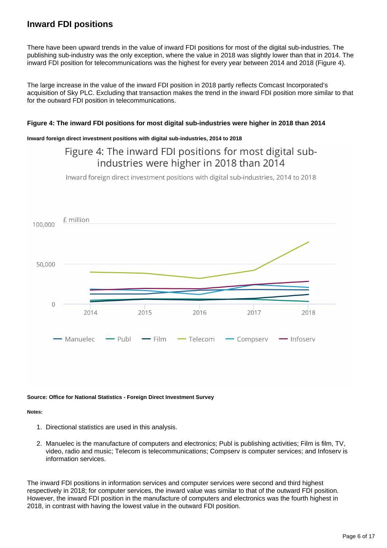## **Inward FDI positions**

There have been upward trends in the value of inward FDI positions for most of the digital sub-industries. The publishing sub-industry was the only exception, where the value in 2018 was slightly lower than that in 2014. The inward FDI position for telecommunications was the highest for every year between 2014 and 2018 (Figure 4).

The large increase in the value of the inward FDI position in 2018 partly reflects Comcast Incorporated's acquisition of Sky PLC. Excluding that transaction makes the trend in the inward FDI position more similar to that for the outward FDI position in telecommunications.

#### **Figure 4: The inward FDI positions for most digital sub-industries were higher in 2018 than 2014**

#### **Inward foreign direct investment positions with digital sub-industries, 2014 to 2018**

# Figure 4: The inward FDI positions for most digital subindustries were higher in 2018 than 2014

Inward foreign direct investment positions with digital sub-industries, 2014 to 2018



#### **Source: Office for National Statistics - Foreign Direct Investment Survey**

#### **Notes:**

- 1. Directional statistics are used in this analysis.
- 2. Manuelec is the manufacture of computers and electronics; Publ is publishing activities; Film is film, TV, video, radio and music; Telecom is telecommunications; Compserv is computer services; and Infoserv is information services.

The inward FDI positions in information services and computer services were second and third highest respectively in 2018; for computer services, the inward value was similar to that of the outward FDI position. However, the inward FDI position in the manufacture of computers and electronics was the fourth highest in 2018, in contrast with having the lowest value in the outward FDI position.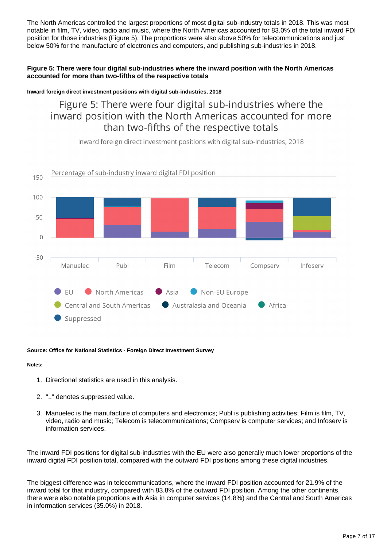The North Americas controlled the largest proportions of most digital sub-industry totals in 2018. This was most notable in film, TV, video, radio and music, where the North Americas accounted for 83.0% of the total inward FDI position for those industries (Figure 5). The proportions were also above 50% for telecommunications and just below 50% for the manufacture of electronics and computers, and publishing sub-industries in 2018.

### **Figure 5: There were four digital sub-industries where the inward position with the North Americas accounted for more than two-fifths of the respective totals**

#### **Inward foreign direct investment positions with digital sub-industries, 2018**

Figure 5: There were four digital sub-industries where the inward position with the North Americas accounted for more than two-fifths of the respective totals

Inward foreign direct investment positions with digital sub-industries, 2018



#### **Source: Office for National Statistics - Foreign Direct Investment Survey**

### **Notes:**

- 1. Directional statistics are used in this analysis.
- 2. ".." denotes suppressed value.
- 3. Manuelec is the manufacture of computers and electronics; Publ is publishing activities; Film is film, TV, video, radio and music; Telecom is telecommunications; Compserv is computer services; and Infoserv is information services.

The inward FDI positions for digital sub-industries with the EU were also generally much lower proportions of the inward digital FDI position total, compared with the outward FDI positions among these digital industries.

The biggest difference was in telecommunications, where the inward FDI position accounted for 21.9% of the inward total for that industry, compared with 83.8% of the outward FDI position. Among the other continents, there were also notable proportions with Asia in computer services (14.8%) and the Central and South Americas in information services (35.0%) in 2018.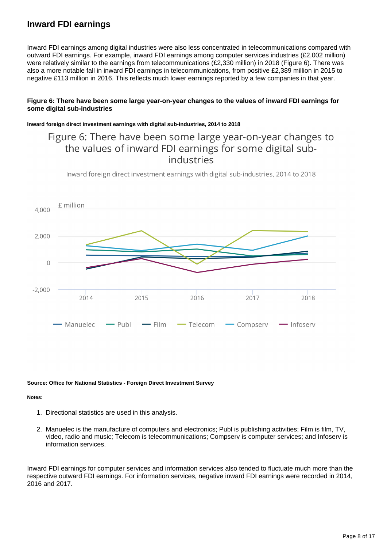## **Inward FDI earnings**

Inward FDI earnings among digital industries were also less concentrated in telecommunications compared with outward FDI earnings. For example, inward FDI earnings among computer services industries (£2,002 million) were relatively similar to the earnings from telecommunications (£2,330 million) in 2018 (Figure 6). There was also a more notable fall in inward FDI earnings in telecommunications, from positive £2,389 million in 2015 to negative £113 million in 2016. This reflects much lower earnings reported by a few companies in that year.

#### **Figure 6: There have been some large year-on-year changes to the values of inward FDI earnings for some digital sub-industries**

#### **Inward foreign direct investment earnings with digital sub-industries, 2014 to 2018**

# Figure 6: There have been some large year-on-year changes to the values of inward FDI earnings for some digital subindustries

Inward foreign direct investment earnings with digital sub-industries, 2014 to 2018



#### **Source: Office for National Statistics - Foreign Direct Investment Survey**

#### **Notes:**

- 1. Directional statistics are used in this analysis.
- 2. Manuelec is the manufacture of computers and electronics; Publ is publishing activities; Film is film, TV, video, radio and music; Telecom is telecommunications; Compserv is computer services; and Infoserv is information services.

Inward FDI earnings for computer services and information services also tended to fluctuate much more than the respective outward FDI earnings. For information services, negative inward FDI earnings were recorded in 2014, 2016 and 2017.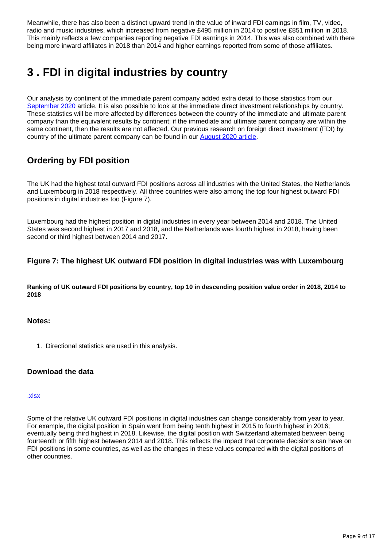Meanwhile, there has also been a distinct upward trend in the value of inward FDI earnings in film, TV, video, radio and music industries, which increased from negative £495 million in 2014 to positive £851 million in 2018. This mainly reflects a few companies reporting negative FDI earnings in 2014. This was also combined with there being more inward affiliates in 2018 than 2014 and higher earnings reported from some of those affiliates.

# <span id="page-8-0"></span>**3 . FDI in digital industries by country**

Our analysis by continent of the immediate parent company added extra detail to those statistics from our [September 2020](https://www.ons.gov.uk/economy/nationalaccounts/balanceofpayments/articles/ukforeigndirectinvestmenttrendsandanalysis/september2020) article. It is also possible to look at the immediate direct investment relationships by country. These statistics will be more affected by differences between the country of the immediate and ultimate parent company than the equivalent results by continent; if the immediate and ultimate parent company are within the same continent, then the results are not affected. Our previous research on foreign direct investment (FDI) by country of the ultimate parent company can be found in our [August 2020 article](https://www.ons.gov.uk/economy/nationalaccounts/balanceofpayments/articles/ukforeigndirectinvestmenttrendsandanalysis/august2020).

# **Ordering by FDI position**

The UK had the highest total outward FDI positions across all industries with the United States, the Netherlands and Luxembourg in 2018 respectively. All three countries were also among the top four highest outward FDI positions in digital industries too (Figure 7).

Luxembourg had the highest position in digital industries in every year between 2014 and 2018. The United States was second highest in 2017 and 2018, and the Netherlands was fourth highest in 2018, having been second or third highest between 2014 and 2017.

### **Figure 7: The highest UK outward FDI position in digital industries was with Luxembourg**

**Ranking of UK outward FDI positions by country, top 10 in descending position value order in 2018, 2014 to 2018**

### **Notes:**

1. Directional statistics are used in this analysis.

### **Download the data**

#### [.xlsx](https://www.ons.gov.uk/visualisations/dvc1036/inwardsallyears/datadownload.xlsx)

Some of the relative UK outward FDI positions in digital industries can change considerably from year to year. For example, the digital position in Spain went from being tenth highest in 2015 to fourth highest in 2016; eventually being third highest in 2018. Likewise, the digital position with Switzerland alternated between being fourteenth or fifth highest between 2014 and 2018. This reflects the impact that corporate decisions can have on FDI positions in some countries, as well as the changes in these values compared with the digital positions of other countries.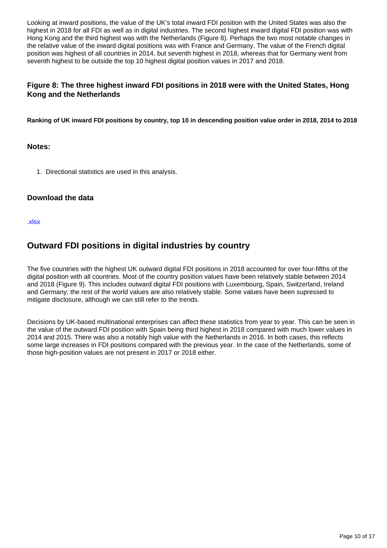Looking at inward positions, the value of the UK's total inward FDI position with the United States was also the highest in 2018 for all FDI as well as in digital industries. The second highest inward digital FDI position was with Hong Kong and the third highest was with the Netherlands (Figure 8). Perhaps the two most notable changes in the relative value of the inward digital positions was with France and Germany. The value of the French digital position was highest of all countries in 2014, but seventh highest in 2018, whereas that for Germany went from seventh highest to be outside the top 10 highest digital position values in 2017 and 2018.

### **Figure 8: The three highest inward FDI positions in 2018 were with the United States, Hong Kong and the Netherlands**

**Ranking of UK inward FDI positions by country, top 10 in descending position value order in 2018, 2014 to 2018**

### **Notes:**

1. Directional statistics are used in this analysis.

### **Download the data**

[.xlsx](https://www.ons.gov.uk/visualisations/dvc1036/inwardsallyears/datadownload.xlsx)

## **Outward FDI positions in digital industries by country**

The five countries with the highest UK outward digital FDI positions in 2018 accounted for over four-fifths of the digital position with all countries. Most of the country position values have been relatively stable between 2014 and 2018 (Figure 9). This includes outward digital FDI positions with Luxembourg, Spain, Switzerland, Ireland and Germany; the rest of the world values are also relatively stable. Some values have been supressed to mitigate disclosure, although we can still refer to the trends.

Decisions by UK-based multinational enterprises can affect these statistics from year to year. This can be seen in the value of the outward FDI position with Spain being third highest in 2018 compared with much lower values in 2014 and 2015. There was also a notably high value with the Netherlands in 2016. In both cases, this reflects some large increases in FDI positions compared with the previous year. In the case of the Netherlands, some of those high-position values are not present in 2017 or 2018 either.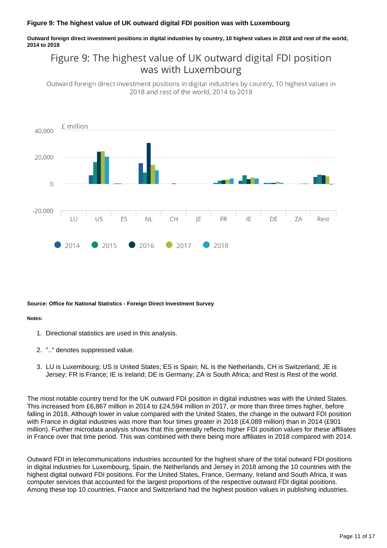#### **Figure 9: The highest value of UK outward digital FDI position was with Luxembourg**

**Outward foreign direct investment positions in digital industries by country, 10 highest values in 2018 and rest of the world, 2014 to 2018**

# Figure 9: The highest value of UK outward digital FDI position was with Luxembourg

Outward foreign direct investment positions in digital industries by country, 10 highest values in 2018 and rest of the world, 2014 to 2018



#### **Source: Office for National Statistics - Foreign Direct Investment Survey**

#### **Notes:**

- 1. Directional statistics are used in this analysis.
- 2. ".." denotes suppressed value.
- 3. LU is Luxembourg; US is United States; ES is Spain; NL is the Netherlands, CH is Switzerland; JE is Jersey; FR is France; IE is Ireland; DE is Germany; ZA is South Africa; and Rest is Rest of the world.

The most notable country trend for the UK outward FDI position in digital industries was with the United States. This increased from £6,867 million in 2014 to £24,594 million in 2017, or more than three times higher, before falling in 2018. Although lower in value compared with the United States, the change in the outward FDI position with France in digital industries was more than four times greater in 2018 (£4,089 million) than in 2014 (£901 million). Further microdata analysis shows that this generally reflects higher FDI position values for these affiliates in France over that time period. This was combined with there being more affiliates in 2018 compared with 2014.

Outward FDI in telecommunications industries accounted for the highest share of the total outward FDI positions in digital industries for Luxembourg, Spain, the Netherlands and Jersey in 2018 among the 10 countries with the highest digital outward FDI positions. For the United States, France, Germany, Ireland and South Africa, it was computer services that accounted for the largest proportions of the respective outward FDI digital positions. Among these top 10 countries, France and Switzerland had the highest position values in publishing industries.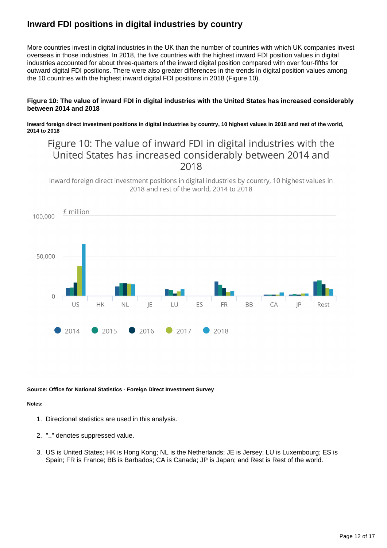# **Inward FDI positions in digital industries by country**

More countries invest in digital industries in the UK than the number of countries with which UK companies invest overseas in those industries. In 2018, the five countries with the highest inward FDI position values in digital industries accounted for about three-quarters of the inward digital position compared with over four-fifths for outward digital FDI positions. There were also greater differences in the trends in digital position values among the 10 countries with the highest inward digital FDI positions in 2018 (Figure 10).

#### **Figure 10: The value of inward FDI in digital industries with the United States has increased considerably between 2014 and 2018**

**Inward foreign direct investment positions in digital industries by country, 10 highest values in 2018 and rest of the world, 2014 to 2018**

# Figure 10: The value of inward FDI in digital industries with the United States has increased considerably between 2014 and 2018

Inward foreign direct investment positions in digital industries by country, 10 highest values in 2018 and rest of the world, 2014 to 2018



#### **Source: Office for National Statistics - Foreign Direct Investment Survey**

#### **Notes:**

- 1. Directional statistics are used in this analysis.
- 2. ".." denotes suppressed value.
- 3. US is United States; HK is Hong Kong; NL is the Netherlands; JE is Jersey; LU is Luxembourg; ES is Spain; FR is France; BB is Barbados; CA is Canada; JP is Japan; and Rest is Rest of the world.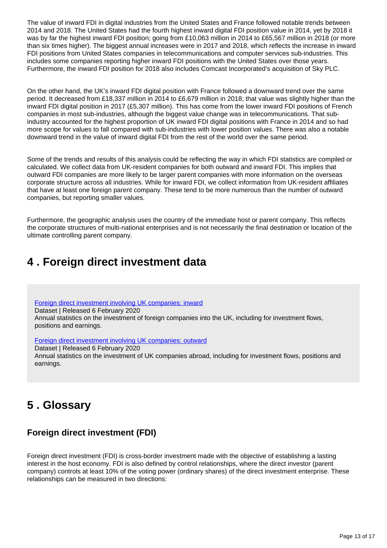The value of inward FDI in digital industries from the United States and France followed notable trends between 2014 and 2018. The United States had the fourth highest inward digital FDI position value in 2014, yet by 2018 it was by far the highest inward FDI position; going from £10,063 million in 2014 to £65,567 million in 2018 (or more than six times higher). The biggest annual increases were in 2017 and 2018, which reflects the increase in inward FDI positions from United States companies in telecommunications and computer services sub-industries. This includes some companies reporting higher inward FDI positions with the United States over those years. Furthermore, the inward FDI position for 2018 also includes Comcast Incorporated's acquisition of Sky PLC.

On the other hand, the UK's inward FDI digital position with France followed a downward trend over the same period. It decreased from £18,337 million in 2014 to £6,679 million in 2018; that value was slightly higher than the inward FDI digital position in 2017 (£5,307 million). This has come from the lower inward FDI positions of French companies in most sub-industries, although the biggest value change was in telecommunications. That subindustry accounted for the highest proportion of UK inward FDI digital positions with France in 2014 and so had more scope for values to fall compared with sub-industries with lower position values. There was also a notable downward trend in the value of inward digital FDI from the rest of the world over the same period.

Some of the trends and results of this analysis could be reflecting the way in which FDI statistics are compiled or calculated. We collect data from UK-resident companies for both outward and inward FDI. This implies that outward FDI companies are more likely to be larger parent companies with more information on the overseas corporate structure across all industries. While for inward FDI, we collect information from UK-resident affiliates that have at least one foreign parent company. These tend to be more numerous than the number of outward companies, but reporting smaller values.

Furthermore, the geographic analysis uses the country of the immediate host or parent company. This reflects the corporate structures of multi-national enterprises and is not necessarily the final destination or location of the ultimate controlling parent company.

# <span id="page-12-0"></span>**4 . Foreign direct investment data**

[Foreign direct investment involving UK companies: inward](https://www.ons.gov.uk/businessindustryandtrade/business/businessinnovation/datasets/foreigndirectinvestmentinvolvingukcompanies2013inwardtables) Dataset | Released 6 February 2020 Annual statistics on the investment of foreign companies into the UK, including for investment flows, positions and earnings.

[Foreign direct investment involving UK companies: outward](https://www.ons.gov.uk/businessindustryandtrade/business/businessinnovation/datasets/foreigndirectinvestmentinvolvingukcompaniesoutwardtables)

Dataset | Released 6 February 2020 Annual statistics on the investment of UK companies abroad, including for investment flows, positions and earnings.

# <span id="page-12-1"></span>**5 . Glossary**

# **Foreign direct investment (FDI)**

Foreign direct investment (FDI) is cross-border investment made with the objective of establishing a lasting interest in the host economy. FDI is also defined by control relationships, where the direct investor (parent company) controls at least 10% of the voting power (ordinary shares) of the direct investment enterprise. These relationships can be measured in two directions: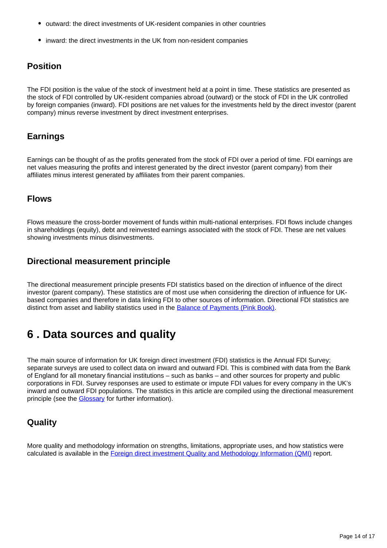- outward: the direct investments of UK-resident companies in other countries
- inward: the direct investments in the UK from non-resident companies

## **Position**

The FDI position is the value of the stock of investment held at a point in time. These statistics are presented as the stock of FDI controlled by UK-resident companies abroad (outward) or the stock of FDI in the UK controlled by foreign companies (inward). FDI positions are net values for the investments held by the direct investor (parent company) minus reverse investment by direct investment enterprises.

## **Earnings**

Earnings can be thought of as the profits generated from the stock of FDI over a period of time. FDI earnings are net values measuring the profits and interest generated by the direct investor (parent company) from their affiliates minus interest generated by affiliates from their parent companies.

## **Flows**

Flows measure the cross-border movement of funds within multi-national enterprises. FDI flows include changes in shareholdings (equity), debt and reinvested earnings associated with the stock of FDI. These are net values showing investments minus disinvestments.

## **Directional measurement principle**

The directional measurement principle presents FDI statistics based on the direction of influence of the direct investor (parent company). These statistics are of most use when considering the direction of influence for UKbased companies and therefore in data linking FDI to other sources of information. Directional FDI statistics are distinct from asset and liability statistics used in the [Balance of Payments \(Pink Book\)](https://www.ons.gov.uk/economy/nationalaccounts/balanceofpayments/bulletins/unitedkingdombalanceofpaymentsthepinkbook/2019).

# <span id="page-13-0"></span>**6 . Data sources and quality**

The main source of information for UK foreign direct investment (FDI) statistics is the Annual FDI Survey; separate surveys are used to collect data on inward and outward FDI. This is combined with data from the Bank of England for all monetary financial institutions – such as banks – and other sources for property and public corporations in FDI. Survey responses are used to estimate or impute FDI values for every company in the UK's inward and outward FDI populations. The statistics in this article are compiled using the directional measurement principle (see the [Glossary](https://ww.ons.gov.uk/economy/nationalaccounts/balanceofpayments/articles/ukforeigndirectinvestmenttrendsandanalysis/november2020#glossary) for further information).

# **Quality**

More quality and methodology information on strengths, limitations, appropriate uses, and how statistics were calculated is available in the [Foreign direct investment Quality and Methodology Information \(QMI\)](https://www.ons.gov.uk/businessindustryandtrade/business/businessinnovation/methodologies/foreigndirectinvestmentfdiqmi) report.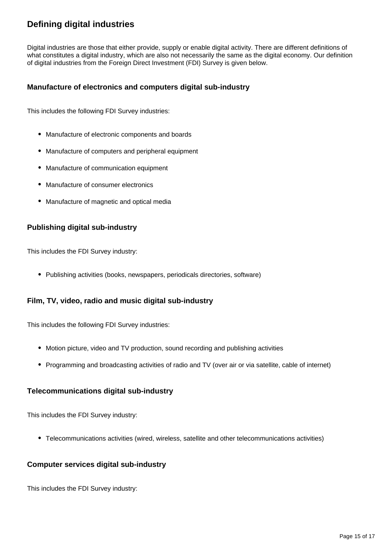# **Defining digital industries**

Digital industries are those that either provide, supply or enable digital activity. There are different definitions of what constitutes a digital industry, which are also not necessarily the same as the digital economy. Our definition of digital industries from the Foreign Direct Investment (FDI) Survey is given below.

### **Manufacture of electronics and computers digital sub-industry**

This includes the following FDI Survey industries:

- Manufacture of electronic components and boards
- Manufacture of computers and peripheral equipment
- Manufacture of communication equipment
- Manufacture of consumer electronics
- Manufacture of magnetic and optical media

### **Publishing digital sub-industry**

This includes the FDI Survey industry:

• Publishing activities (books, newspapers, periodicals directories, software)

### **Film, TV, video, radio and music digital sub-industry**

This includes the following FDI Survey industries:

- Motion picture, video and TV production, sound recording and publishing activities
- Programming and broadcasting activities of radio and TV (over air or via satellite, cable of internet)

### **Telecommunications digital sub-industry**

This includes the FDI Survey industry:

Telecommunications activities (wired, wireless, satellite and other telecommunications activities)

### **Computer services digital sub-industry**

This includes the FDI Survey industry: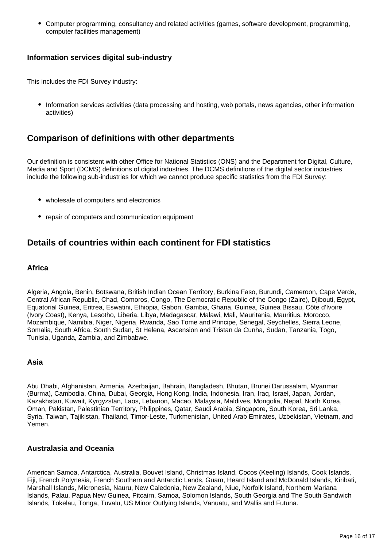Computer programming, consultancy and related activities (games, software development, programming, computer facilities management)

### **Information services digital sub-industry**

This includes the FDI Survey industry:

• Information services activities (data processing and hosting, web portals, news agencies, other information activities)

### **Comparison of definitions with other departments**

Our definition is consistent with other Office for National Statistics (ONS) and the Department for Digital, Culture, Media and Sport (DCMS) definitions of digital industries. The DCMS definitions of the digital sector industries include the following sub-industries for which we cannot produce specific statistics from the FDI Survey:

- wholesale of computers and electronics
- repair of computers and communication equipment

## **Details of countries within each continent for FDI statistics**

### **Africa**

Algeria, Angola, Benin, Botswana, British Indian Ocean Territory, Burkina Faso, Burundi, Cameroon, Cape Verde, Central African Republic, Chad, Comoros, Congo, The Democratic Republic of the Congo (Zaire), Djibouti, Egypt, Equatorial Guinea, Eritrea, Eswatini, Ethiopia, Gabon, Gambia, Ghana, Guinea, Guinea Bissau, Côte d'Ivoire (Ivory Coast), Kenya, Lesotho, Liberia, Libya, Madagascar, Malawi, Mali, Mauritania, Mauritius, Morocco, Mozambique, Namibia, Niger, Nigeria, Rwanda, Sao Tome and Principe, Senegal, Seychelles, Sierra Leone, Somalia, South Africa, South Sudan, St Helena, Ascension and Tristan da Cunha, Sudan, Tanzania, Togo, Tunisia, Uganda, Zambia, and Zimbabwe.

### **Asia**

Abu Dhabi, Afghanistan, Armenia, Azerbaijan, Bahrain, Bangladesh, Bhutan, Brunei Darussalam, Myanmar (Burma), Cambodia, China, Dubai, Georgia, Hong Kong, India, Indonesia, Iran, Iraq, Israel, Japan, Jordan, Kazakhstan, Kuwait, Kyrgyzstan, Laos, Lebanon, Macao, Malaysia, Maldives, Mongolia, Nepal, North Korea, Oman, Pakistan, Palestinian Territory, Philippines, Qatar, Saudi Arabia, Singapore, South Korea, Sri Lanka, Syria, Taiwan, Tajikistan, Thailand, Timor-Leste, Turkmenistan, United Arab Emirates, Uzbekistan, Vietnam, and Yemen.

### **Australasia and Oceania**

American Samoa, Antarctica, Australia, Bouvet Island, Christmas Island, Cocos (Keeling) Islands, Cook Islands, Fiji, French Polynesia, French Southern and Antarctic Lands, Guam, Heard Island and McDonald Islands, Kiribati, Marshall Islands, Micronesia, Nauru, New Caledonia, New Zealand, Niue, Norfolk Island, Northern Mariana Islands, Palau, Papua New Guinea, Pitcairn, Samoa, Solomon Islands, South Georgia and The South Sandwich Islands, Tokelau, Tonga, Tuvalu, US Minor Outlying Islands, Vanuatu, and Wallis and Futuna.